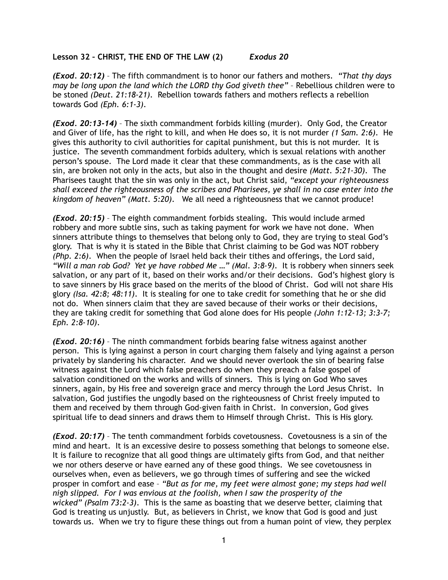## **Lesson 32 – CHRIST, THE END OF THE LAW (2)** *Exodus 20*

*(Exod. 20:12)* – The fifth commandment is to honor our fathers and mothers. *"That thy days may be long upon the land which the LORD thy God giveth thee"* – Rebellious children were to be stoned *(Deut. 21:18-21)*. Rebellion towards fathers and mothers reflects a rebellion towards God *(Eph. 6:1-3)*.

*(Exod. 20:13-14)* – The sixth commandment forbids killing (murder). Only God, the Creator and Giver of life, has the right to kill, and when He does so, it is not murder *(1 Sam. 2:6)*. He gives this authority to civil authorities for capital punishment, but this is not murder. It is justice. The seventh commandment forbids adultery, which is sexual relations with another person's spouse. The Lord made it clear that these commandments, as is the case with all sin, are broken not only in the acts, but also in the thought and desire *(Matt. 5:21-30)*. The Pharisees taught that the sin was only in the act, but Christ said, *"except your righteousness shall exceed the righteousness of the scribes and Pharisees, ye shall in no case enter into the kingdom of heaven" (Matt. 5:20)*. We all need a righteousness that we cannot produce!

*(Exod. 20:15)* – The eighth commandment forbids stealing. This would include armed robbery and more subtle sins, such as taking payment for work we have not done. When sinners attribute things to themselves that belong only to God, they are trying to steal God's glory. That is why it is stated in the Bible that Christ claiming to be God was NOT robbery *(Php. 2:6)*. When the people of Israel held back their tithes and offerings, the Lord said, *"Will a man rob God? Yet ye have robbed Me …" (Mal. 3:8-9)*. It is robbery when sinners seek salvation, or any part of it, based on their works and/or their decisions. God's highest glory is to save sinners by His grace based on the merits of the blood of Christ. God will not share His glory *(Isa. 42:8; 48:11)*. It is stealing for one to take credit for something that he or she did not do. When sinners claim that they are saved because of their works or their decisions, they are taking credit for something that God alone does for His people *(John 1:12-13; 3:3-7; Eph. 2:8-10)*.

*(Exod. 20:16)* – The ninth commandment forbids bearing false witness against another person. This is lying against a person in court charging them falsely and lying against a person privately by slandering his character. And we should never overlook the sin of bearing false witness against the Lord which false preachers do when they preach a false gospel of salvation conditioned on the works and wills of sinners. This is lying on God Who saves sinners, again, by His free and sovereign grace and mercy through the Lord Jesus Christ. In salvation, God justifies the ungodly based on the righteousness of Christ freely imputed to them and received by them through God-given faith in Christ. In conversion, God gives spiritual life to dead sinners and draws them to Himself through Christ. This is His glory.

*(Exod. 20:17)* – The tenth commandment forbids covetousness. Covetousness is a sin of the mind and heart. It is an excessive desire to possess something that belongs to someone else. It is failure to recognize that all good things are ultimately gifts from God, and that neither we nor others deserve or have earned any of these good things. We see covetousness in ourselves when, even as believers, we go through times of suffering and see the wicked prosper in comfort and ease – *"But as for me, my feet were almost gone; my steps had well nigh slipped. For I was envious at the foolish, when I saw the prosperity of the wicked" (Psalm 73:2-3)*. This is the same as boasting that we deserve better, claiming that God is treating us unjustly. But, as believers in Christ, we know that God is good and just towards us. When we try to figure these things out from a human point of view, they perplex